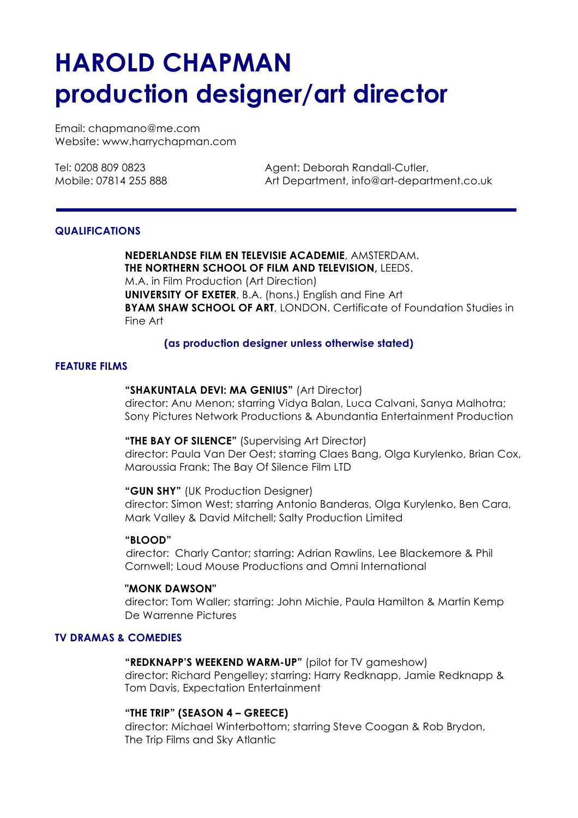# **HAROLD CHAPMAN production designer/art director**

Email: chapmano@me.com Website: www.harrychapman.com

Tel: 0208 809 0823 Agent: Deborah Randall-Cutler, Mobile: 07814 255 888 Art Department, info@art-department.co.uk

# **QUALIFICATIONS**

**NEDERLANDSE FILM EN TELEVISIE ACADEMIE**, AMSTERDAM. **THE NORTHERN SCHOOL OF FILM AND TELEVISION,** LEEDS. M.A. in Film Production (Art Direction) **UNIVERSITY OF EXETER**, B.A. (hons.) English and Fine Art **BYAM SHAW SCHOOL OF ART**, LONDON. Certificate of Foundation Studies in Fine Art

# **(as production designer unless otherwise stated)**

# **FEATURE FILMS**

# **"SHAKUNTALA DEVI: MA GENIUS"** (Art Director)

director: Anu Menon; starring Vidya Balan, Luca Calvani, Sanya Malhotra; Sony Pictures Network Productions & Abundantia Entertainment Production

# **"THE BAY OF SILENCE"** (Supervising Art Director)

director: Paula Van Der Oest; starring Claes Bang, Olga Kurylenko, Brian Cox, Maroussia Frank; The Bay Of Silence Film LTD

**"GUN SHY"** (UK Production Designer) director: Simon West; starring Antonio Banderas, Olga Kurylenko, Ben Cara, Mark Valley & David Mitchell; Salty Production Limited

# **"BLOOD"**

director: Charly Cantor; starring: Adrian Rawlins, Lee Blackemore & Phil Cornwell; Loud Mouse Productions and Omni International

#### **"MONK DAWSON"**

 director: Tom Waller; starring: John Michie, Paula Hamilton & Martin Kemp De Warrenne Pictures

# **TV DRAMAS & COMEDIES**

**"REDKNAPP'S WEEKEND WARM-UP"** (pilot for TV gameshow) director: Richard Pengelley; starring: Harry Redknapp, Jamie Redknapp & Tom Davis, Expectation Entertainment

# **"THE TRIP" (SEASON 4 – GREECE)**

director: Michael Winterbottom; starring Steve Coogan & Rob Brydon, The Trip Films and Sky Atlantic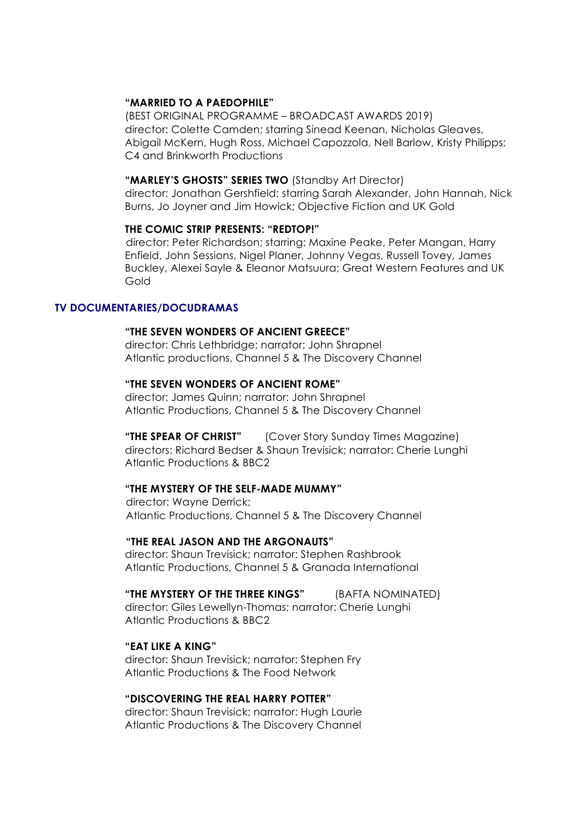## **"MARRIED TO A PAEDOPHILE"**

(BEST ORIGINAL PROGRAMME – BROADCAST AWARDS 2019) director: Colette Camden; starring Sinead Keenan, Nicholas Gleaves, Abigail McKern, Hugh Ross, Michael Capozzola, Nell Barlow, Kristy Philipps; C4 and Brinkworth Productions

#### **"MARLEY'S GHOSTS" SERIES TWO** (Standby Art Director)

director: Jonathan Gershfield; starring Sarah Alexander, John Hannah, Nick Burns, Jo Joyner and Jim Howick; Objective Fiction and UK Gold

#### **THE COMIC STRIP PRESENTS: "REDTOP!"**

director: Peter Richardson; starring: Maxine Peake, Peter Mangan, Harry Enfield, John Sessions, Nigel Planer, Johnny Vegas, Russell Tovey, James Buckley, Alexei Sayle & Eleanor Matsuura; Great Western Features and UK Gold

### **TV DOCUMENTARIES/DOCUDRAMAS**

#### **"THE SEVEN WONDERS OF ANCIENT GREECE"**

 director: Chris Lethbridge; narrator: John Shrapnel Atlantic productions, Channel 5 & The Discovery Channel

#### **"THE SEVEN WONDERS OF ANCIENT ROME"**

 director: James Quinn; narrator: John Shrapnel Atlantic Productions, Channel 5 & The Discovery Channel

 **"THE SPEAR OF CHRIST"** (Cover Story Sunday Times Magazine) directors: Richard Bedser & Shaun Trevisick; narrator: Cherie Lunghi Atlantic Productions & BBC2

# **"THE MYSTERY OF THE SELF-MADE MUMMY"**

director: Wayne Derrick; Atlantic Productions, Channel 5 & The Discovery Channel

#### **"THE REAL JASON AND THE ARGONAUTS"**

 director: Shaun Trevisick; narrator: Stephen Rashbrook Atlantic Productions, Channel 5 & Granada International

#### **"THE MYSTERY OF THE THREE KINGS"** (BAFTA NOMINATED)

director: Giles Lewellyn-Thomas; narrator: Cherie Lunghi Atlantic Productions & BBC2

#### **"EAT LIKE A KING"**

director: Shaun Trevisick; narrator: Stephen Fry Atlantic Productions & The Food Network

#### **"DISCOVERING THE REAL HARRY POTTER"**

director: Shaun Trevisick; narrator: Hugh Laurie Atlantic Productions & The Discovery Channel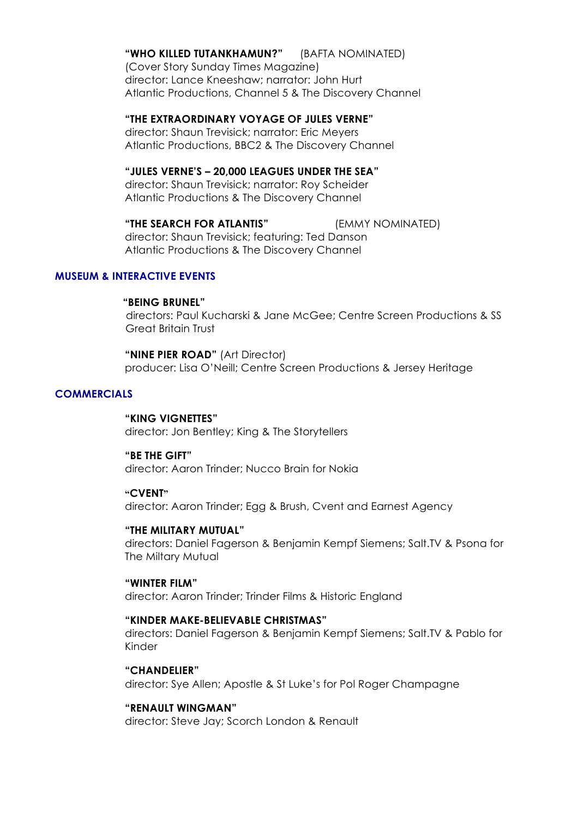#### **"WHO KILLED TUTANKHAMUN?"** (BAFTA NOMINATED)

(Cover Story Sunday Times Magazine) director: Lance Kneeshaw; narrator: John Hurt Atlantic Productions, Channel 5 & The Discovery Channel

# **"THE EXTRAORDINARY VOYAGE OF JULES VERNE"**

director: Shaun Trevisick; narrator: Eric Meyers Atlantic Productions, BBC2 & The Discovery Channel

#### **"JULES VERNE'S – 20,000 LEAGUES UNDER THE SEA"**

director: Shaun Trevisick; narrator: Roy Scheider Atlantic Productions & The Discovery Channel

**"THE SEARCH FOR ATLANTIS"** (EMMY NOMINATED) director: Shaun Trevisick; featuring: Ted Danson Atlantic Productions & The Discovery Channel

#### **MUSEUM & INTERACTIVE EVENTS**

#### **"BEING BRUNEL"**

directors: Paul Kucharski & Jane McGee; Centre Screen Productions & SS Great Britain Trust

**"NINE PIER ROAD"** (Art Director) producer: Lisa O'Neill; Centre Screen Productions & Jersey Heritage

#### **COMMERCIALS**

#### **"KING VIGNETTES"**

director: Jon Bentley; King & The Storytellers

#### **"BE THE GIFT"**

director: Aaron Trinder; Nucco Brain for Nokia

#### **"CVENT"**

director: Aaron Trinder; Egg & Brush, Cvent and Earnest Agency

#### **"THE MILITARY MUTUAL"**

directors: Daniel Fagerson & Benjamin Kempf Siemens; Salt.TV & Psona for The Miltary Mutual

# **"WINTER FILM"**

director: Aaron Trinder; Trinder Films & Historic England

#### **"KINDER MAKE-BELIEVABLE CHRISTMAS"**

directors: Daniel Fagerson & Benjamin Kempf Siemens; Salt.TV & Pablo for Kinder

**"CHANDELIER"** director: Sye Allen; Apostle & St Luke's for Pol Roger Champagne

# **"RENAULT WINGMAN"**

director: Steve Jay; Scorch London & Renault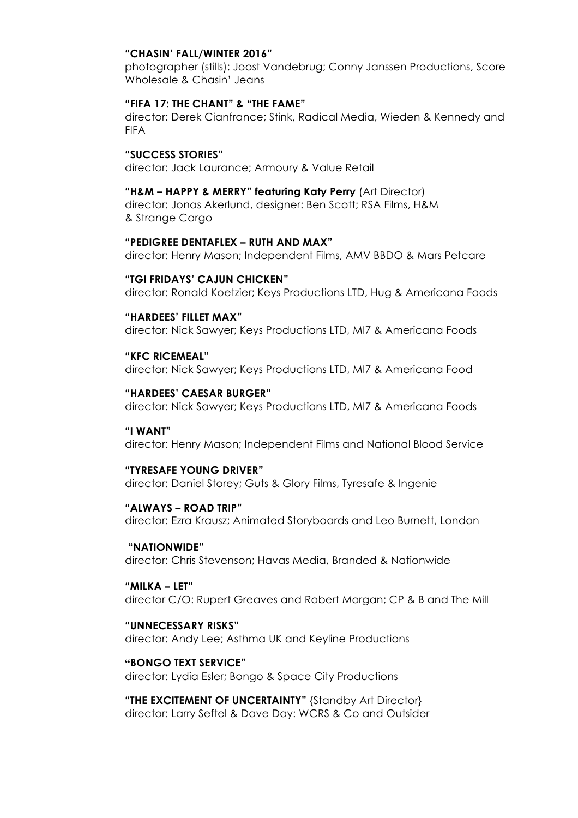#### **"CHASIN' FALL/WINTER 2016"**

photographer (stills): Joost Vandebrug; Conny Janssen Productions, Score Wholesale & Chasin' Jeans

# **"FIFA 17: THE CHANT" & "THE FAME"**

director: Derek Cianfrance; Stink, Radical Media, Wieden & Kennedy and FIFA

### **"SUCCESS STORIES"**

director: Jack Laurance; Armoury & Value Retail

#### **"H&M – HAPPY & MERRY" featuring Katy Perry** (Art Director)

director: Jonas Akerlund, designer: Ben Scott; RSA Films, H&M & Strange Cargo

# **"PEDIGREE DENTAFLEX – RUTH AND MAX"**

director: Henry Mason; Independent Films, AMV BBDO & Mars Petcare

#### **"TGI FRIDAYS' CAJUN CHICKEN"**

director: Ronald Koetzier; Keys Productions LTD, Hug & Americana Foods

#### **"HARDEES' FILLET MAX"**

director: Nick Sawyer; Keys Productions LTD, MI7 & Americana Foods

#### **"KFC RICEMEAL"**

director: Nick Sawyer; Keys Productions LTD, MI7 & Americana Food

#### **"HARDEES' CAESAR BURGER"**

director: Nick Sawyer; Keys Productions LTD, MI7 & Americana Foods

# **"I WANT"**

director: Henry Mason; Independent Films and National Blood Service

#### **"TYRESAFE YOUNG DRIVER"**

director: Daniel Storey; Guts & Glory Films, Tyresafe & Ingenie

#### **"ALWAYS – ROAD TRIP"**

director: Ezra Krausz; Animated Storyboards and Leo Burnett, London

#### **"NATIONWIDE"**

director: Chris Stevenson; Havas Media, Branded & Nationwide

#### **"MILKA – LET"**

director C/O: Rupert Greaves and Robert Morgan; CP & B and The Mill

#### **"UNNECESSARY RISKS"**

director: Andy Lee; Asthma UK and Keyline Productions

# **"BONGO TEXT SERVICE"**

director: Lydia Esler; Bongo & Space City Productions

**"THE EXCITEMENT OF UNCERTAINTY"** {Standby Art Director} director: Larry Seftel & Dave Day: WCRS & Co and Outsider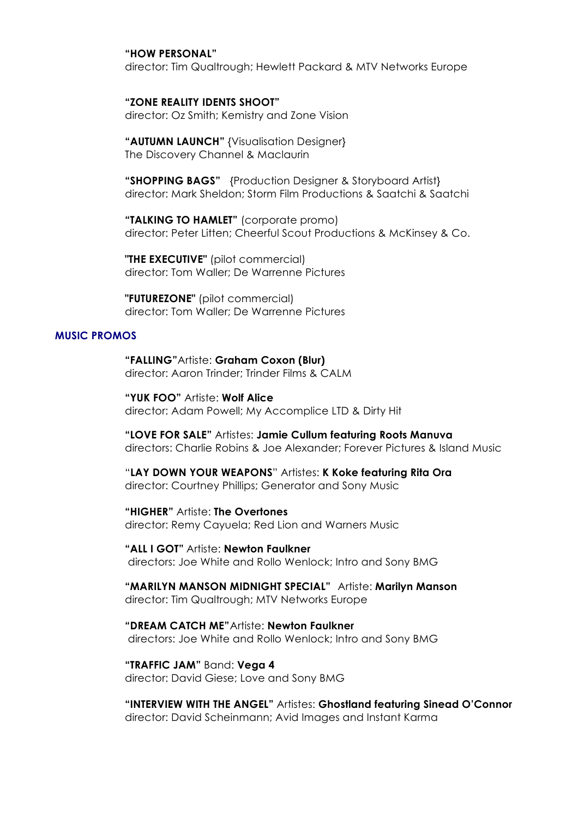#### **"HOW PERSONAL"**

director: Tim Qualtrough; Hewlett Packard & MTV Networks Europe

# **"ZONE REALITY IDENTS SHOOT"**

director: Oz Smith; Kemistry and Zone Vision

**"AUTUMN LAUNCH"** {Visualisation Designer} The Discovery Channel & Maclaurin

**"SHOPPING BAGS"** {Production Designer & Storyboard Artist} director: Mark Sheldon; Storm Film Productions & Saatchi & Saatchi

**"TALKING TO HAMLET"** (corporate promo) director: Peter Litten; Cheerful Scout Productions & McKinsey & Co.

**"THE EXECUTIVE"** (pilot commercial) director: Tom Waller; De Warrenne Pictures

**"FUTUREZONE"** (pilot commercial) director: Tom Waller; De Warrenne Pictures

#### **MUSIC PROMOS**

**"FALLING"**Artiste: **Graham Coxon (Blur)** director: Aaron Trinder; Trinder Films & CALM

**"YUK FOO"** Artiste: **Wolf Alice** director: Adam Powell; My Accomplice LTD & Dirty Hit

**"LOVE FOR SALE"** Artistes: **Jamie Cullum featuring Roots Manuva** directors: Charlie Robins & Joe Alexander; Forever Pictures & Island Music

"**LAY DOWN YOUR WEAPONS**" Artistes: **K Koke featuring Rita Ora** director: Courtney Phillips; Generator and Sony Music

**"HIGHER"** Artiste: **The Overtones** director: Remy Cayuela; Red Lion and Warners Music

**"ALL I GOT"** Artiste: **Newton Faulkner** directors: Joe White and Rollo Wenlock; Intro and Sony BMG

#### **"MARILYN MANSON MIDNIGHT SPECIAL"** Artiste: **Marilyn Manson** director: Tim Qualtrough; MTV Networks Europe

 **"DREAM CATCH ME"**Artiste: **Newton Faulkner** directors: Joe White and Rollo Wenlock; Intro and Sony BMG

# **"TRAFFIC JAM"** Band: **Vega 4**

director: David Giese; Love and Sony BMG

**"INTERVIEW WITH THE ANGEL"** Artistes: **Ghostland featuring Sinead O'Connor** director: David Scheinmann; Avid Images and Instant Karma